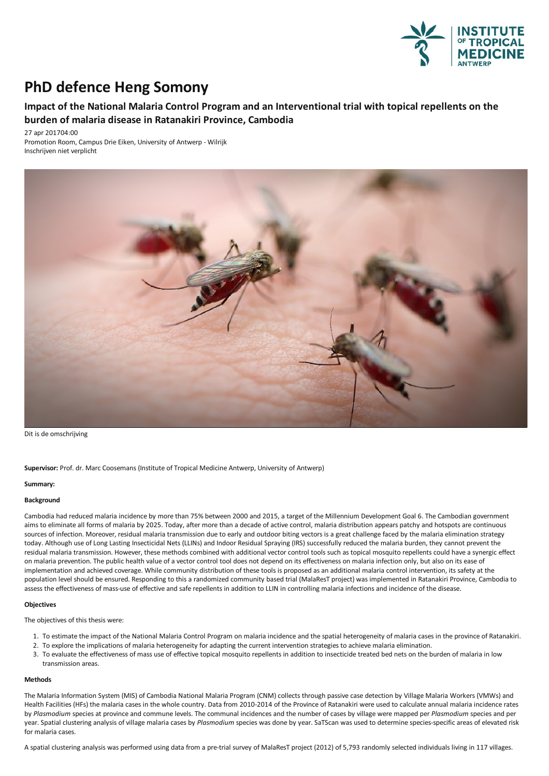

# **PhD** defence Heng Somony

## **Impact of the National Malaria Control Program and an Interventional trial with topical repellents on the burden of malaria disease in Ratanakiri Province, Cambodia**

27 apr 201704:00 Promotion Room, Campus Drie Eiken, University of Antwerp - Wilrijk Inschrijven niet verplicht



Dit is de omschrijving

**Supervisor:** Prof. dr. Marc Coosemans (Institute of Tropical Medicine Antwerp, University of Antwerp)

#### **Summary:**

#### **Background**

Cambodia had reduced malaria incidence by more than 75% between 2000 and 2015, a target of the Millennium Development Goal 6. The Cambodian government aims to eliminate all forms of malaria by 2025. Today, after more than a decade of active control, malaria distribution appears patchy and hotspots are continuous sources of infection. Moreover, residual malaria transmission due to early and outdoor biting vectors is a great challenge faced by the malaria elimination strategy today. Although use of Long Lasting Insecticidal Nets (LLINs) and Indoor Residual Spraying (IRS) successfully reduced the malaria burden, they cannot prevent the residual malaria transmission. However, these methods combined with additional vector control tools such as topical mosquito repellents could have a synergic effect on malaria prevention. The public health value of a vector control tool does not depend on its effectiveness on malaria infection only, but also on its ease of implementation and achieved coverage. While community distribution of these tools is proposed as an additional malaria control intervention, its safety at the population level should be ensured. Responding to this a randomized community based trial (MalaResT project) was implemented in Ratanakiri Province, Cambodia to assess the effectiveness of mass-use of effective and safe repellents in addition to LLIN in controlling malaria infections and incidence of the disease.

#### **Objectives**

The objectives of this thesis were:

- 1. To estimate the impact of the National Malaria Control Program on malaria incidence and the spatial heterogeneity of malaria cases in the province of Ratanakiri.
- 2. To explore the implications of malaria heterogeneity for adapting the current intervention strategies to achieve malaria elimination.
- 3. To evaluate the effectiveness of mass use of effective topical mosquito repellents in addition to insecticide treated bed nets on the burden of malariain low transmission areas.

### **Methods**

The Malaria Information System (MIS) of Cambodia National Malaria Program (CNM) collects through passive case detection by Village Malaria Workers (VMWs) and Health Facilities (HFs) the malaria cases in the whole country. Data from 2010-2014 of the Province of Ratanakiri were used to calculate annual malaria incidence rates by *Plasmodium* speciesat province and commune levels.The communal incidencesand the number of cases by village were mapped per *Plasmodium* speciesand per year.Spatial clusteringanalysis ofvillage malariacases by *Plasmodium* species was done by year.SaTScan was used to determine species-specificareas of elevated risk for malaria cases.

A spatial clustering analysis was performed using data from a pre-trial survey of MalaResT project (2012) of 5,793 randomly selected individuals living in 117 villages.